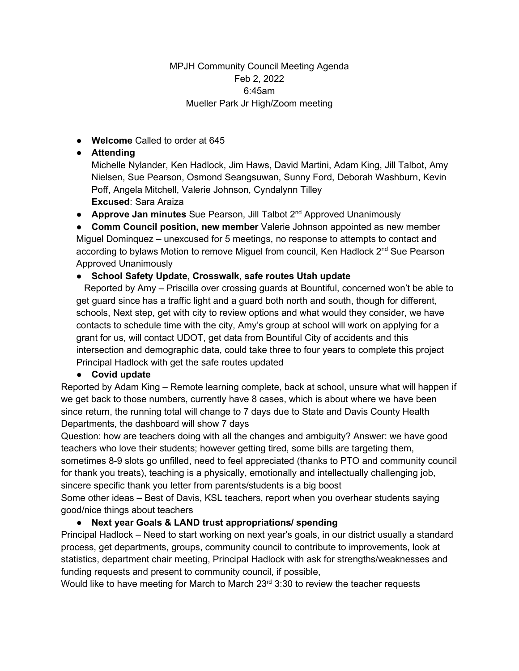## MPJH Community Council Meeting Agenda Feb 2, 2022 6:45am Mueller Park Jr High/Zoom meeting

● **Welcome** Called to order at 645

## ● **Attending**

Michelle Nylander, Ken Hadlock, Jim Haws, David Martini, Adam King, Jill Talbot, Amy Nielsen, Sue Pearson, Osmond Seangsuwan, Sunny Ford, Deborah Washburn, Kevin Poff, Angela Mitchell, Valerie Johnson, Cyndalynn Tilley **Excused**: Sara Araiza

**• Approve Jan minutes** Sue Pearson, Jill Talbot 2<sup>nd</sup> Approved Unanimously

● **Comm Council position, new member** Valerie Johnson appointed as new member Miguel Dominquez – unexcused for 5 meetings, no response to attempts to contact and according to bylaws Motion to remove Miguel from council, Ken Hadlock 2<sup>nd</sup> Sue Pearson Approved Unanimously

## ● **School Safety Update, Crosswalk, safe routes Utah update**

 Reported by Amy – Priscilla over crossing guards at Bountiful, concerned won't be able to get guard since has a traffic light and a guard both north and south, though for different, schools, Next step, get with city to review options and what would they consider, we have contacts to schedule time with the city, Amy's group at school will work on applying for a grant for us, will contact UDOT, get data from Bountiful City of accidents and this intersection and demographic data, could take three to four years to complete this project Principal Hadlock with get the safe routes updated

## ● **Covid update**

Reported by Adam King – Remote learning complete, back at school, unsure what will happen if we get back to those numbers, currently have 8 cases, which is about where we have been since return, the running total will change to 7 days due to State and Davis County Health Departments, the dashboard will show 7 days

Question: how are teachers doing with all the changes and ambiguity? Answer: we have good teachers who love their students; however getting tired, some bills are targeting them, sometimes 8-9 slots go unfilled, need to feel appreciated (thanks to PTO and community council for thank you treats), teaching is a physically, emotionally and intellectually challenging job, sincere specific thank you letter from parents/students is a big boost

Some other ideas – Best of Davis, KSL teachers, report when you overhear students saying good/nice things about teachers

# ● **Next year Goals & LAND trust appropriations/ spending**

Principal Hadlock – Need to start working on next year's goals, in our district usually a standard process, get departments, groups, community council to contribute to improvements, look at statistics, department chair meeting, Principal Hadlock with ask for strengths/weaknesses and funding requests and present to community council, if possible,

Would like to have meeting for March to March  $23<sup>rd</sup> 3:30$  to review the teacher requests